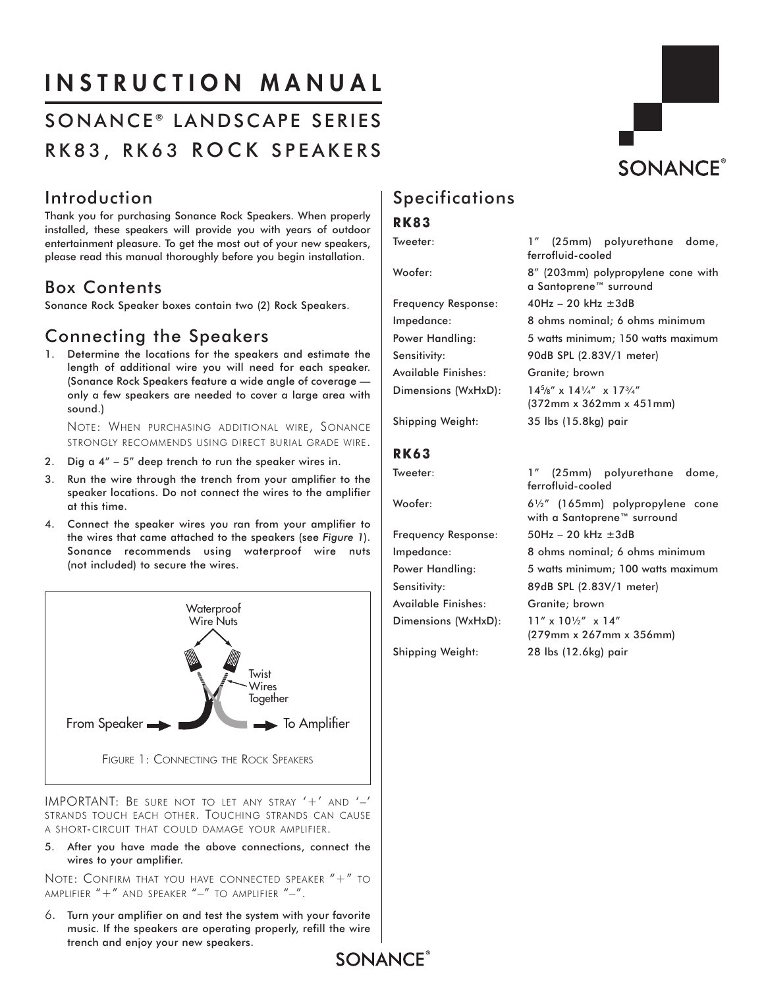# INSTRUCTION MANUAL

# SONANCE<sup>®</sup> LANDSCAPE SERIES RK83, RK63 ROCK SPEAKERS

# **SONANCE®**

# Introduction

Thank you for purchasing Sonance Rock Speakers. When properly installed, these speakers will provide you with years of outdoor entertainment pleasure. To get the most out of your new speakers, please read this manual thoroughly before you begin installation.

## Box Contents

Sonance Rock Speaker boxes contain two (2) Rock Speakers.

# Connecting the Speakers

1. Determine the locations for the speakers and estimate the length of additional wire you will need for each speaker. (Sonance Rock Speakers feature a wide angle of coverage only a few speakers are needed to cover a large area with sound.)

NOTE: WHEN PURCHASING ADDITIONAL WIRE, SONANCE STRONGLY RECOMMENDS USING DIRECT BURIAL GRADE WIRE.

- 2. Dig a 4" 5" deep trench to run the speaker wires in.
- 3. Run the wire through the trench from your amplifier to the speaker locations. Do not connect the wires to the amplifier at this time.
- 4. Connect the speaker wires you ran from your amplifier to the wires that came attached to the speakers (see *Figure 1*). Sonance recommends using waterproof wire nuts (not included) to secure the wires.



IMPORTANT: BE SURE NOT TO LET ANY STRAY '+' AND '–' STRANDS TOUCH EACH OTHER. TOUCHING STRANDS CAN CAUSE A SHORT-CIRCUIT THAT COULD DAMAGE YOUR AMPLIFIER.

5. After you have made the above connections, connect the wires to your amplifier.

NOTE: CONFIRM THAT YOU HAVE CONNECTED SPEAKER "+" TO AMPLIFIER  $4 + 7$  and speaker  $4 - 7$  to amplifier  $4 - 7$ .

6. Turn your amplifier on and test the system with your favorite music. If the speakers are operating properly, refill the wire trench and enjoy your new speakers.

# **Specifications**

### **RK83**

Frequency Response: 40Hz – 20 kHz ±3dB Sensitivity: 90dB SPL (2.83V/1 meter) Available Finishes: Granite; brown Dimensions (WxHxD):

### **RK63**

Available Finishes: Granite; brown Dimensions (WxHxD): 11" x 10½" x 14"

Tweeter: 1" (25mm) polyurethane dome, ferrofluid-cooled Woofer: 8" (203mm) polypropylene cone with a Santoprene™ surround Impedance: 8 ohms nominal; 6 ohms minimum Power Handling: 5 watts minimum; 150 watts maximum  $14^{5}/8''$  x  $14\frac{1}{4}''$  x  $17\frac{3}{4}''$ (372mm x 362mm x 451mm) Shipping Weight: 35 lbs (15.8kg) pair

Tweeter: 1" (25mm) polyurethane dome, ferrofluid-cooled Woofer: 6½" (165mm) polypropylene cone with a Santoprene™ surround Frequency Response: 50Hz – 20 kHz ±3dB Impedance: 8 ohms nominal; 6 ohms minimum Power Handling: 5 watts minimum; 100 watts maximum Sensitivity: 89dB SPL (2.83V/1 meter) (279mm x 267mm x 356mm) Shipping Weight: 28 lbs (12.6kg) pair